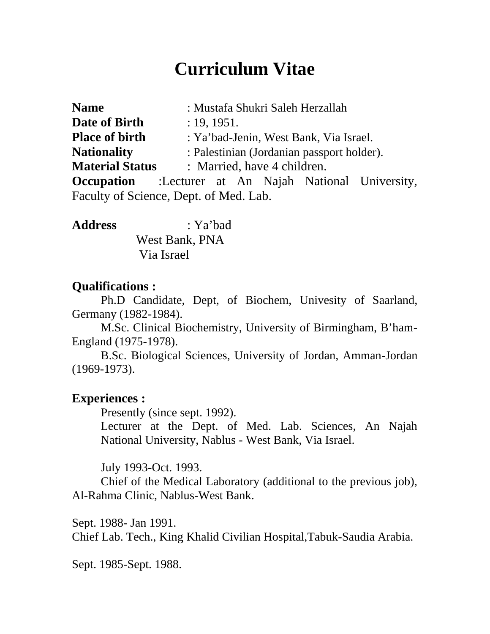## **Curriculum Vitae**

| <b>Name</b>                                                  | : Mustafa Shukri Saleh Herzallah           |                                        |  |  |  |  |  |
|--------------------------------------------------------------|--------------------------------------------|----------------------------------------|--|--|--|--|--|
| Date of Birth                                                |                                            | : 19, 1951.                            |  |  |  |  |  |
| <b>Place of birth</b>                                        |                                            | : Ya'bad-Jenin, West Bank, Via Israel. |  |  |  |  |  |
| <b>Nationality</b>                                           | : Palestinian (Jordanian passport holder). |                                        |  |  |  |  |  |
| <b>Material Status</b><br>: Married, have 4 children.        |                                            |                                        |  |  |  |  |  |
| <b>Occupation</b> :Lecturer at An Najah National University, |                                            |                                        |  |  |  |  |  |
| Faculty of Science, Dept. of Med. Lab.                       |                                            |                                        |  |  |  |  |  |

**Address** : Ya'bad West Bank, PNA Via Israel

## **Qualifications :**

Ph.D Candidate, Dept, of Biochem, Univesity of Saarland, Germany (1982-1984).

M.Sc. Clinical Biochemistry, University of Birmingham, B'ham- England (1975-1978).

B.Sc. Biological Sciences, University of Jordan, Amman-Jordan (1969-1973).

## **Experiences :**

Presently (since sept. 1992).

Lecturer at the Dept. of Med. Lab. Sciences, An Najah National University, Nablus - West Bank, Via Israel.

July 1993-Oct. 1993.

Chief of the Medical Laboratory (additional to the previous job), Al-Rahma Clinic, Nablus-West Bank.

Sept. 1988- Jan 1991.

Chief Lab. Tech., King Khalid Civilian Hospital,Tabuk-Saudia Arabia.

Sept. 1985-Sept. 1988.